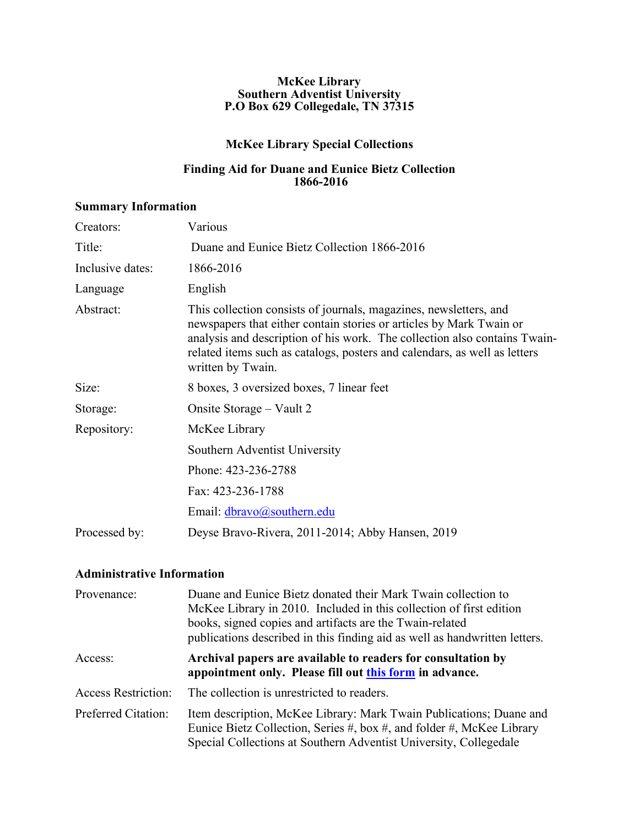#### **McKee Library Southern Adventist University P.O Box 629 Collegedale, TN 37315**

## **McKee Library Special Collections**

#### **Finding Aid for Duane and Eunice Bietz Collection 1866-2016**

## **Summary Information**

| Creators:        | Various                                                                                                                                                                                                                                                                                                                 |
|------------------|-------------------------------------------------------------------------------------------------------------------------------------------------------------------------------------------------------------------------------------------------------------------------------------------------------------------------|
| Title:           | Duane and Eunice Bietz Collection 1866-2016                                                                                                                                                                                                                                                                             |
| Inclusive dates: | 1866-2016                                                                                                                                                                                                                                                                                                               |
| Language         | English                                                                                                                                                                                                                                                                                                                 |
| Abstract:        | This collection consists of journals, magazines, newsletters, and<br>newspapers that either contain stories or articles by Mark Twain or<br>analysis and description of his work. The collection also contains Twain-<br>related items such as catalogs, posters and calendars, as well as letters<br>written by Twain. |
| Size:            | 8 boxes, 3 oversized boxes, 7 linear feet                                                                                                                                                                                                                                                                               |
| Storage:         | Onsite Storage – Vault 2                                                                                                                                                                                                                                                                                                |
| Repository:      | McKee Library                                                                                                                                                                                                                                                                                                           |
|                  | Southern Adventist University                                                                                                                                                                                                                                                                                           |
|                  | Phone: 423-236-2788                                                                                                                                                                                                                                                                                                     |
|                  | Fax: 423-236-1788                                                                                                                                                                                                                                                                                                       |
|                  | Email: dbravo@southern.edu                                                                                                                                                                                                                                                                                              |
| Processed by:    | Deyse Bravo-Rivera, 2011-2014; Abby Hansen, 2019                                                                                                                                                                                                                                                                        |

## **Administrative Information**

| Provenance:                | Duane and Eunice Bietz donated their Mark Twain collection to<br>McKee Library in 2010. Included in this collection of first edition<br>books, signed copies and artifacts are the Twain-related<br>publications described in this finding aid as well as handwritten letters. |
|----------------------------|--------------------------------------------------------------------------------------------------------------------------------------------------------------------------------------------------------------------------------------------------------------------------------|
| Access:                    | Archival papers are available to readers for consultation by<br>appointment only. Please fill out this form in advance.                                                                                                                                                        |
| <b>Access Restriction:</b> | The collection is unrestricted to readers.                                                                                                                                                                                                                                     |
| Preferred Citation:        | Item description, McKee Library: Mark Twain Publications; Duane and<br>Eunice Bietz Collection, Series #, box #, and folder #, McKee Library<br>Special Collections at Southern Adventist University, Collegedale                                                              |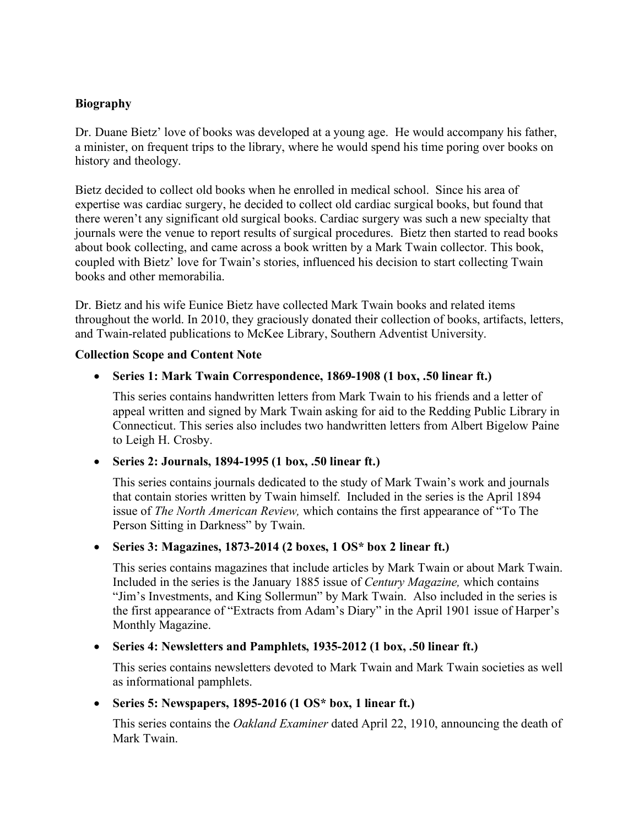## **Biography**

Dr. Duane Bietz' love of books was developed at a young age. He would accompany his father, a minister, on frequent trips to the library, where he would spend his time poring over books on history and theology.

Bietz decided to collect old books when he enrolled in medical school. Since his area of expertise was cardiac surgery, he decided to collect old cardiac surgical books, but found that there weren't any significant old surgical books. Cardiac surgery was such a new specialty that journals were the venue to report results of surgical procedures. Bietz then started to read books about book collecting, and came across a book written by a Mark Twain collector. This book, coupled with Bietz' love for Twain's stories, influenced his decision to start collecting Twain books and other memorabilia.

Dr. Bietz and his wife Eunice Bietz have collected Mark Twain books and related items throughout the world. In 2010, they graciously donated their collection of books, artifacts, letters, and Twain-related publications to McKee Library, Southern Adventist University.

#### **Collection Scope and Content Note**

## • **Series 1: Mark Twain Correspondence, 1869-1908 (1 box, .50 linear ft.)**

This series contains handwritten letters from Mark Twain to his friends and a letter of appeal written and signed by Mark Twain asking for aid to the Redding Public Library in Connecticut. This series also includes two handwritten letters from Albert Bigelow Paine to Leigh H. Crosby.

## • **Series 2: Journals, 1894-1995 (1 box, .50 linear ft.)**

This series contains journals dedicated to the study of Mark Twain's work and journals that contain stories written by Twain himself. Included in the series is the April 1894 issue of *The North American Review,* which contains the first appearance of "To The Person Sitting in Darkness" by Twain.

## • **Series 3: Magazines, 1873-2014 (2 boxes, 1 OS\* box 2 linear ft.)**

This series contains magazines that include articles by Mark Twain or about Mark Twain. Included in the series is the January 1885 issue of *Century Magazine,* which contains "Jim's Investments, and King Sollermun" by Mark Twain. Also included in the series is the first appearance of "Extracts from Adam's Diary" in the April 1901 issue of Harper's Monthly Magazine.

#### • **Series 4: Newsletters and Pamphlets, 1935-2012 (1 box, .50 linear ft.)**

This series contains newsletters devoted to Mark Twain and Mark Twain societies as well as informational pamphlets.

## • **Series 5: Newspapers, 1895-2016 (1 OS\* box, 1 linear ft.)**

This series contains the *Oakland Examiner* dated April 22, 1910, announcing the death of Mark Twain.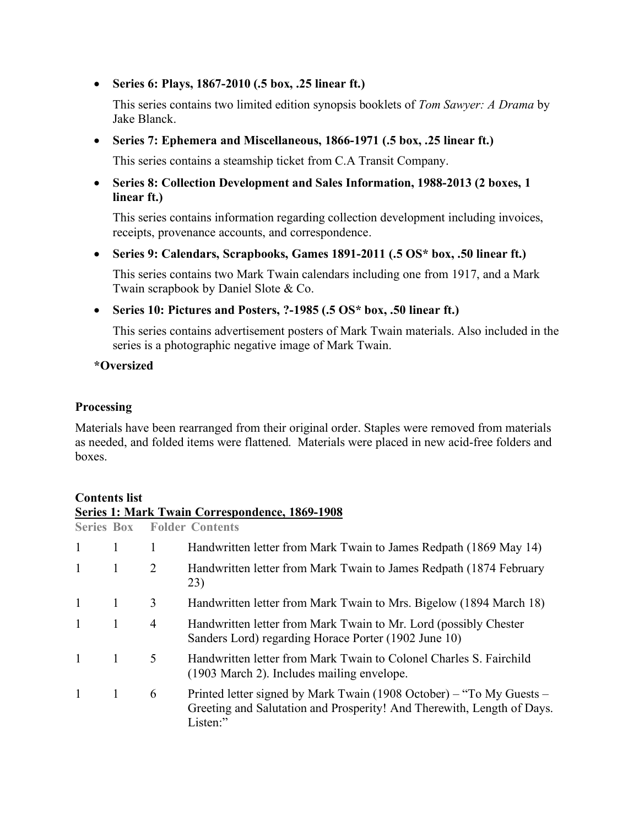• **Series 6: Plays, 1867-2010 (.5 box, .25 linear ft.)**

This series contains two limited edition synopsis booklets of *Tom Sawyer: A Drama* by Jake Blanck.

• **Series 7: Ephemera and Miscellaneous, 1866-1971 (.5 box, .25 linear ft.)**

This series contains a steamship ticket from C.A Transit Company.

• **Series 8: Collection Development and Sales Information, 1988-2013 (2 boxes, 1 linear ft.)**

This series contains information regarding collection development including invoices, receipts, provenance accounts, and correspondence.

• **Series 9: Calendars, Scrapbooks, Games 1891-2011 (.5 OS\* box, .50 linear ft.)**

This series contains two Mark Twain calendars including one from 1917, and a Mark Twain scrapbook by Daniel Slote & Co.

• **Series 10: Pictures and Posters, ?-1985 (.5 OS\* box, .50 linear ft.)**

This series contains advertisement posters of Mark Twain materials. Also included in the series is a photographic negative image of Mark Twain.

**\*Oversized**

#### **Processing**

Materials have been rearranged from their original order. Staples were removed from materials as needed, and folded items were flattened. Materials were placed in new acid-free folders and boxes.

## **Contents list**

|                   |   |                | Series 1: Mark Twain Correspondence, 1869-1908                                                                                                             |
|-------------------|---|----------------|------------------------------------------------------------------------------------------------------------------------------------------------------------|
| <b>Series Box</b> |   |                | <b>Folder Contents</b>                                                                                                                                     |
| $\mathbf{1}$      | 1 | 1              | Handwritten letter from Mark Twain to James Redpath (1869 May 14)                                                                                          |
| $\mathbf{1}$      | 1 | $\overline{2}$ | Handwritten letter from Mark Twain to James Redpath (1874 February<br>23)                                                                                  |
| $\mathbf{1}$      | 1 | 3              | Handwritten letter from Mark Twain to Mrs. Bigelow (1894 March 18)                                                                                         |
| $\mathbf{1}$      | 1 | 4              | Handwritten letter from Mark Twain to Mr. Lord (possibly Chester<br>Sanders Lord) regarding Horace Porter (1902 June 10)                                   |
|                   | 1 | 5              | Handwritten letter from Mark Twain to Colonel Charles S. Fairchild<br>(1903 March 2). Includes mailing envelope.                                           |
|                   | 1 | 6              | Printed letter signed by Mark Twain (1908 October) – "To My Guests –<br>Greeting and Salutation and Prosperity! And Therewith, Length of Days.<br>Listen:" |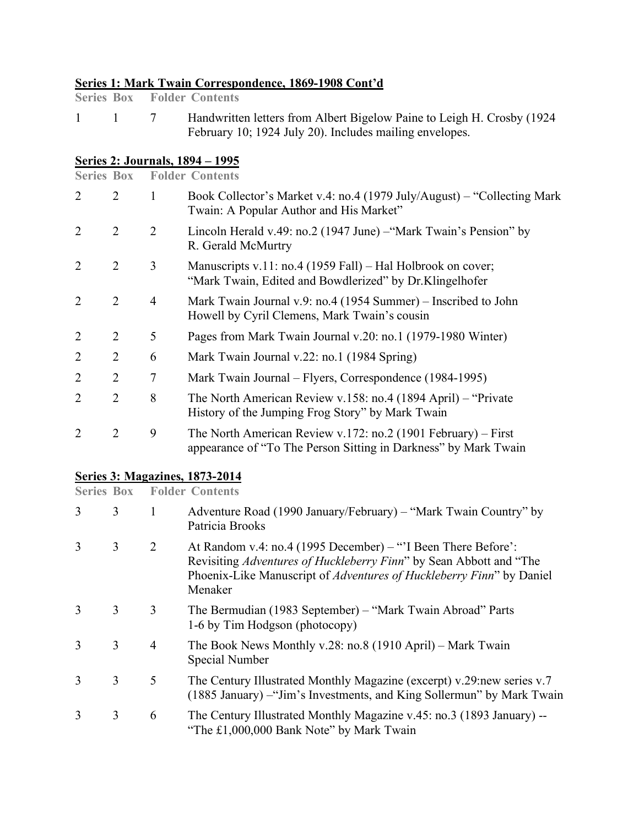## **Series 1: Mark Twain Correspondence, 1869-1908 Cont'd**

1 1 7 Handwritten letters from Albert Bigelow Paine to Leigh H. Crosby (1924 February 10; 1924 July 20). Includes mailing envelopes.

## **Series 2: Journals, 1894 – 1995**

| <b>Series Box</b> |                |                | <b>Folder Contents</b>                                                                                                           |
|-------------------|----------------|----------------|----------------------------------------------------------------------------------------------------------------------------------|
| 2                 | 2              | 1              | Book Collector's Market v.4: no.4 (1979 July/August) – "Collecting Mark"<br>Twain: A Popular Author and His Market"              |
| 2                 | $\overline{2}$ | $\overline{2}$ | Lincoln Herald v.49: no.2 (1947 June) – "Mark Twain's Pension" by<br>R. Gerald McMurtry                                          |
| $\overline{2}$    | $\overline{2}$ | 3              | Manuscripts v.11: no.4 (1959 Fall) – Hal Holbrook on cover;<br>"Mark Twain, Edited and Bowdlerized" by Dr.Klingelhofer           |
| 2                 | $\overline{2}$ | $\overline{4}$ | Mark Twain Journal v.9: no.4 (1954 Summer) – Inscribed to John<br>Howell by Cyril Clemens, Mark Twain's cousin                   |
| $\overline{2}$    | $\overline{2}$ | 5              | Pages from Mark Twain Journal v.20: no.1 (1979-1980 Winter)                                                                      |
| $\overline{2}$    | $\overline{2}$ | 6              | Mark Twain Journal v.22: no.1 (1984 Spring)                                                                                      |
| $\overline{2}$    | $\overline{2}$ | 7              | Mark Twain Journal – Flyers, Correspondence (1984-1995)                                                                          |
| $\overline{2}$    | $\overline{2}$ | 8              | The North American Review v.158: no.4 (1894 April) – "Private<br>History of the Jumping Frog Story" by Mark Twain                |
| $\overline{2}$    | $\overline{2}$ | 9              | The North American Review v.172: no.2 (1901 February) – First<br>appearance of "To The Person Sitting in Darkness" by Mark Twain |

# **Series 3: Magazines, 1873-2014**<br>**Series Box** Folder Contents

**Folder Contents** 

| 3             | 3 | 1              | Adventure Road (1990 January/February) – "Mark Twain Country" by<br>Patricia Brooks                                                                                                                                   |
|---------------|---|----------------|-----------------------------------------------------------------------------------------------------------------------------------------------------------------------------------------------------------------------|
| 3             | 3 | 2              | At Random v.4: no.4 (1995 December) – "I Been There Before':<br>Revisiting Adventures of Huckleberry Finn" by Sean Abbott and "The<br>Phoenix-Like Manuscript of Adventures of Huckleberry Finn" by Daniel<br>Menaker |
| $\mathcal{R}$ | 3 | 3              | The Bermudian (1983 September) – "Mark Twain Abroad" Parts<br>1-6 by Tim Hodgson (photocopy)                                                                                                                          |
| $\mathcal{R}$ | 3 | $\overline{4}$ | The Book News Monthly v.28: no.8 (1910 April) – Mark Twain<br>Special Number                                                                                                                                          |
| $\mathcal{E}$ | 3 | 5              | The Century Illustrated Monthly Magazine (excerpt) v.29:new series v.7<br>(1885 January) - "Jim's Investments, and King Sollermun" by Mark Twain                                                                      |
| 3             | 3 | 6              | The Century Illustrated Monthly Magazine v.45: no.3 (1893 January) --<br>"The £1,000,000 Bank Note" by Mark Twain                                                                                                     |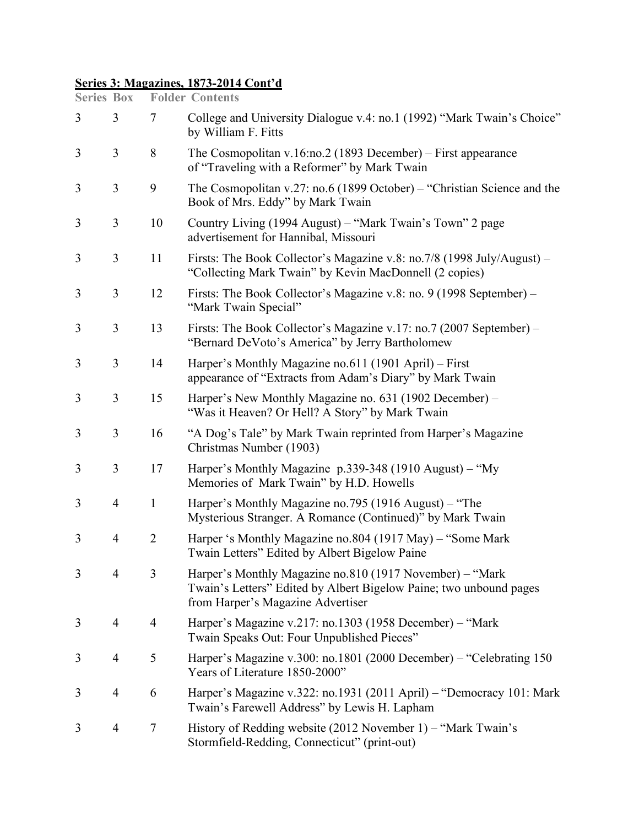## **Series 3: Magazines, 1873-2014 Cont'd**

| <b>Series Box</b> |                |                | <b>Folder Contents</b>                                                                                                                                              |
|-------------------|----------------|----------------|---------------------------------------------------------------------------------------------------------------------------------------------------------------------|
| 3                 | 3              | $\tau$         | College and University Dialogue v.4: no.1 (1992) "Mark Twain's Choice"<br>by William F. Fitts                                                                       |
| 3                 | $\overline{3}$ | 8              | The Cosmopolitan v.16:no.2 (1893 December) – First appearance<br>of "Traveling with a Reformer" by Mark Twain                                                       |
| 3                 | 3              | 9              | The Cosmopolitan v.27: no.6 (1899 October) – "Christian Science and the<br>Book of Mrs. Eddy" by Mark Twain                                                         |
| 3                 | 3              | 10             | Country Living (1994 August) – "Mark Twain's Town" 2 page<br>advertisement for Hannibal, Missouri                                                                   |
| 3                 | 3              | 11             | Firsts: The Book Collector's Magazine v.8: no.7/8 (1998 July/August) -<br>"Collecting Mark Twain" by Kevin MacDonnell (2 copies)                                    |
| 3                 | $\overline{3}$ | 12             | Firsts: The Book Collector's Magazine v.8: no. 9 (1998 September) –<br>"Mark Twain Special"                                                                         |
| 3                 | 3              | 13             | Firsts: The Book Collector's Magazine v.17: no.7 (2007 September) –<br>"Bernard DeVoto's America" by Jerry Bartholomew                                              |
| 3                 | $\overline{3}$ | 14             | Harper's Monthly Magazine no.611 (1901 April) – First<br>appearance of "Extracts from Adam's Diary" by Mark Twain                                                   |
| 3                 | 3              | 15             | Harper's New Monthly Magazine no. 631 (1902 December) –<br>"Was it Heaven? Or Hell? A Story" by Mark Twain                                                          |
| 3                 | 3              | 16             | "A Dog's Tale" by Mark Twain reprinted from Harper's Magazine<br>Christmas Number (1903)                                                                            |
| 3                 | 3              | 17             | Harper's Monthly Magazine p.339-348 (1910 August) – "My<br>Memories of Mark Twain" by H.D. Howells                                                                  |
| 3                 | $\overline{4}$ | $\mathbf{1}$   | Harper's Monthly Magazine no.795 (1916 August) – "The<br>Mysterious Stranger. A Romance (Continued)" by Mark Twain                                                  |
| 3                 | $\overline{4}$ | $\overline{2}$ | Harper 's Monthly Magazine no.804 (1917 May) – "Some Mark"<br>Twain Letters" Edited by Albert Bigelow Paine                                                         |
| 3                 | 4              | 3              | Harper's Monthly Magazine no.810 (1917 November) – "Mark<br>Twain's Letters" Edited by Albert Bigelow Paine; two unbound pages<br>from Harper's Magazine Advertiser |
| 3                 | 4              | $\overline{4}$ | Harper's Magazine v.217: no.1303 (1958 December) - "Mark<br>Twain Speaks Out: Four Unpublished Pieces"                                                              |
| 3                 | $\overline{4}$ | 5              | Harper's Magazine v.300: no.1801 (2000 December) – "Celebrating 150<br>Years of Literature 1850-2000"                                                               |
| 3                 | 4              | 6              | Harper's Magazine v.322: no.1931 (2011 April) – "Democracy 101: Mark<br>Twain's Farewell Address" by Lewis H. Lapham                                                |
| 3                 | 4              | $\tau$         | History of Redding website (2012 November 1) – "Mark Twain's<br>Stormfield-Redding, Connecticut" (print-out)                                                        |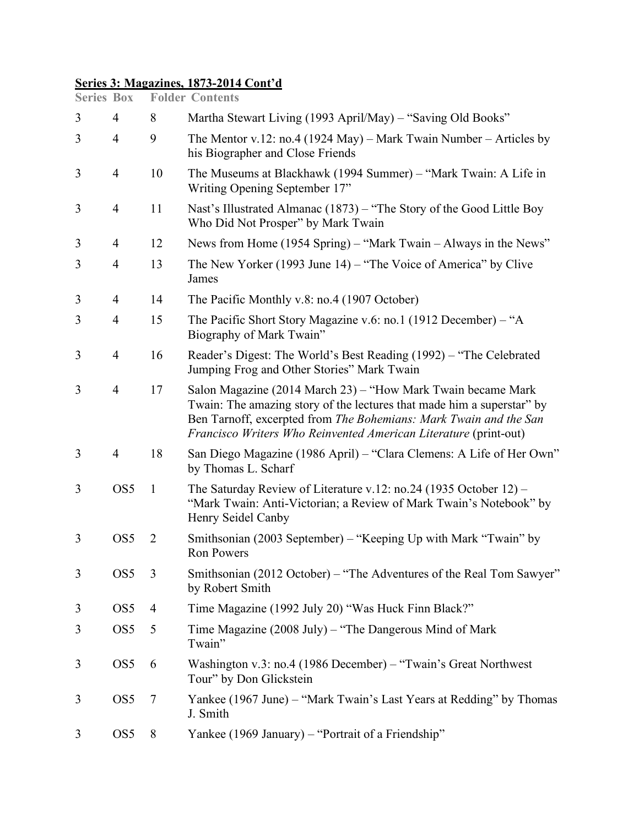## **Series 3: Magazines, 1873-2014 Cont'd**

| <b>Series Box</b> |                 |                | <b>Folder Contents</b>                                                                                                                                                                                                                                                          |
|-------------------|-----------------|----------------|---------------------------------------------------------------------------------------------------------------------------------------------------------------------------------------------------------------------------------------------------------------------------------|
| 3                 | $\overline{4}$  | 8              | Martha Stewart Living (1993 April/May) – "Saving Old Books"                                                                                                                                                                                                                     |
| 3                 | $\overline{4}$  | 9              | The Mentor v.12: no.4 (1924 May) – Mark Twain Number – Articles by<br>his Biographer and Close Friends                                                                                                                                                                          |
| 3                 | $\overline{4}$  | 10             | The Museums at Blackhawk (1994 Summer) – "Mark Twain: A Life in<br>Writing Opening September 17"                                                                                                                                                                                |
| 3                 | $\overline{4}$  | 11             | Nast's Illustrated Almanac (1873) – "The Story of the Good Little Boy<br>Who Did Not Prosper" by Mark Twain                                                                                                                                                                     |
| 3                 | 4               | 12             | News from Home (1954 Spring) – "Mark Twain – Always in the News"                                                                                                                                                                                                                |
| 3                 | $\overline{4}$  | 13             | The New Yorker (1993 June 14) – "The Voice of America" by Clive<br>James                                                                                                                                                                                                        |
| 3                 | 4               | 14             | The Pacific Monthly v.8: no.4 (1907 October)                                                                                                                                                                                                                                    |
| 3                 | $\overline{4}$  | 15             | The Pacific Short Story Magazine v.6: no.1 (1912 December) – "A<br>Biography of Mark Twain"                                                                                                                                                                                     |
| 3                 | $\overline{4}$  | 16             | Reader's Digest: The World's Best Reading (1992) – "The Celebrated<br>Jumping Frog and Other Stories" Mark Twain                                                                                                                                                                |
| 3                 | $\overline{4}$  | 17             | Salon Magazine (2014 March 23) – "How Mark Twain became Mark<br>Twain: The amazing story of the lectures that made him a superstar" by<br>Ben Tarnoff, excerpted from The Bohemians: Mark Twain and the San<br>Francisco Writers Who Reinvented American Literature (print-out) |
| 3                 | $\overline{4}$  | 18             | San Diego Magazine (1986 April) - "Clara Clemens: A Life of Her Own"<br>by Thomas L. Scharf                                                                                                                                                                                     |
| 3                 | OS <sub>5</sub> | $\mathbf{1}$   | The Saturday Review of Literature v.12: no.24 (1935 October 12) –<br>"Mark Twain: Anti-Victorian; a Review of Mark Twain's Notebook" by<br>Henry Seidel Canby                                                                                                                   |
| 3                 | OS <sub>5</sub> | $\overline{2}$ | Smithsonian (2003 September) – "Keeping Up with Mark "Twain" by<br>Ron Powers                                                                                                                                                                                                   |
| 3                 | OS <sub>5</sub> | 3              | Smithsonian (2012 October) - "The Adventures of the Real Tom Sawyer"<br>by Robert Smith                                                                                                                                                                                         |
| 3                 | OS <sub>5</sub> | $\overline{4}$ | Time Magazine (1992 July 20) "Was Huck Finn Black?"                                                                                                                                                                                                                             |
| 3                 | OS <sub>5</sub> | 5              | Time Magazine (2008 July) – "The Dangerous Mind of Mark<br>Twain"                                                                                                                                                                                                               |
| 3                 | OS <sub>5</sub> | 6              | Washington v.3: no.4 (1986 December) – "Twain's Great Northwest"<br>Tour" by Don Glickstein                                                                                                                                                                                     |
| 3                 | OS <sub>5</sub> | 7              | Yankee (1967 June) - "Mark Twain's Last Years at Redding" by Thomas<br>J. Smith                                                                                                                                                                                                 |
| 3                 | OS <sub>5</sub> | 8              | Yankee (1969 January) – "Portrait of a Friendship"                                                                                                                                                                                                                              |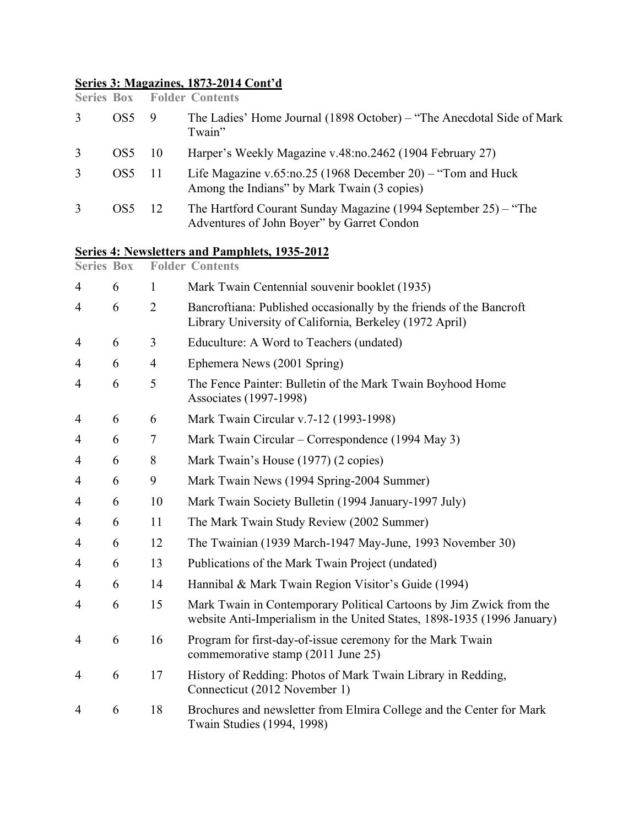## **Series 3: Magazines, 1873-2014 Cont'd**

|   |     |     | <b>Series Box Folder Contents</b>                                                                                |
|---|-----|-----|------------------------------------------------------------------------------------------------------------------|
| 3 | OS5 | -9  | The Ladies' Home Journal (1898 October) – "The Anecdotal Side of Mark<br>Twain"                                  |
| 3 | OS5 | -10 | Harper's Weekly Magazine v.48:no.2462 (1904 February 27)                                                         |
| 3 | OS5 | -11 | Life Magazine v.65:no.25 (1968 December 20) – "Tom and Huck<br>Among the Indians" by Mark Twain (3 copies)       |
| 3 | OS5 | 12  | The Hartford Courant Sunday Magazine (1994 September $25$ ) – "The<br>Adventures of John Boyer" by Garret Condon |

## **Series 4: Newsletters and Pamphlets, 1935-2012**

| <b>Series Box</b> |                | <b>Folder Contents</b>                                                                                                                         |
|-------------------|----------------|------------------------------------------------------------------------------------------------------------------------------------------------|
| 6                 | 1              | Mark Twain Centennial souvenir booklet (1935)                                                                                                  |
| 6                 | $\overline{2}$ | Bancroftiana: Published occasionally by the friends of the Bancroft<br>Library University of California, Berkeley (1972 April)                 |
| 6                 | 3              | Educulture: A Word to Teachers (undated)                                                                                                       |
| 6                 | 4              | Ephemera News (2001 Spring)                                                                                                                    |
| 6                 | 5              | The Fence Painter: Bulletin of the Mark Twain Boyhood Home<br>Associates (1997-1998)                                                           |
| 6                 | 6              | Mark Twain Circular v.7-12 (1993-1998)                                                                                                         |
| 6                 | 7              | Mark Twain Circular – Correspondence (1994 May 3)                                                                                              |
| 6                 | 8              | Mark Twain's House (1977) (2 copies)                                                                                                           |
| 6                 | 9              | Mark Twain News (1994 Spring-2004 Summer)                                                                                                      |
| 6                 | 10             | Mark Twain Society Bulletin (1994 January-1997 July)                                                                                           |
| 6                 | 11             | The Mark Twain Study Review (2002 Summer)                                                                                                      |
| 6                 | 12             | The Twainian (1939 March-1947 May-June, 1993 November 30)                                                                                      |
| 6                 | 13             | Publications of the Mark Twain Project (undated)                                                                                               |
| 6                 | 14             | Hannibal & Mark Twain Region Visitor's Guide (1994)                                                                                            |
| 6                 | 15             | Mark Twain in Contemporary Political Cartoons by Jim Zwick from the<br>website Anti-Imperialism in the United States, 1898-1935 (1996 January) |
| 6                 | 16             | Program for first-day-of-issue ceremony for the Mark Twain<br>commemorative stamp (2011 June 25)                                               |
| 6                 | 17             | History of Redding: Photos of Mark Twain Library in Redding,<br>Connecticut (2012 November 1)                                                  |
| 6                 | 18             | Brochures and newsletter from Elmira College and the Center for Mark<br>Twain Studies (1994, 1998)                                             |
|                   |                |                                                                                                                                                |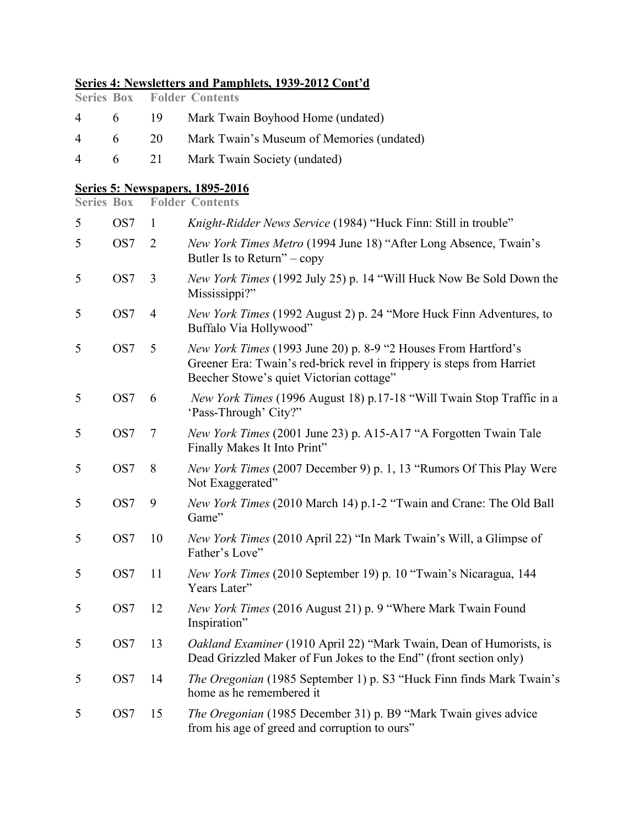## **Series 4: Newsletters and Pamphlets, 1939-2012 Cont'd**

|  | <b>Series Box Folder Contents</b>                |
|--|--------------------------------------------------|
|  | 4 6 19 Mark Twain Boyhood Home (undated)         |
|  | 4 6 20 Mark Twain's Museum of Memories (undated) |
|  | 4 6 21 Mark Twain Society (undated)              |

#### **Series 5: Newspapers, 1895-2016**

**Series Box Folder Contents**

| 5 | OS7             | -1             | Knight-Ridder News Service (1984) "Huck Finn: Still in trouble"                                                                                                                      |
|---|-----------------|----------------|--------------------------------------------------------------------------------------------------------------------------------------------------------------------------------------|
| 5 | OS7             | 2              | New York Times Metro (1994 June 18) "After Long Absence, Twain's<br>Butler Is to Return" – copy                                                                                      |
| 5 | OS7             | 3              | New York Times (1992 July 25) p. 14 "Will Huck Now Be Sold Down the<br>Mississippi?"                                                                                                 |
| 5 | OS7             | $\overline{4}$ | New York Times (1992 August 2) p. 24 "More Huck Finn Adventures, to<br>Buffalo Via Hollywood"                                                                                        |
| 5 | OS <sub>7</sub> | 5              | New York Times (1993 June 20) p. 8-9 "2 Houses From Hartford's<br>Greener Era: Twain's red-brick revel in frippery is steps from Harriet<br>Beecher Stowe's quiet Victorian cottage" |
| 5 | OS7             | 6              | New York Times (1996 August 18) p.17-18 "Will Twain Stop Traffic in a<br>'Pass-Through' City?"                                                                                       |
| 5 | OS <sub>7</sub> | $\overline{7}$ | New York Times (2001 June 23) p. A15-A17 "A Forgotten Twain Tale<br>Finally Makes It Into Print"                                                                                     |
| 5 | OS7             | 8              | New York Times (2007 December 9) p. 1, 13 "Rumors Of This Play Were<br>Not Exaggerated"                                                                                              |
| 5 | OS7             | 9              | New York Times (2010 March 14) p.1-2 "Twain and Crane: The Old Ball<br>Game"                                                                                                         |
| 5 | OS7             | 10             | New York Times (2010 April 22) "In Mark Twain's Will, a Glimpse of<br>Father's Love"                                                                                                 |
| 5 | OS7             | 11             | New York Times (2010 September 19) p. 10 "Twain's Nicaragua, 144<br>Years Later"                                                                                                     |
| 5 | OS7             | 12             | New York Times (2016 August 21) p. 9 "Where Mark Twain Found<br>Inspiration"                                                                                                         |
| 5 | OS7             | 13             | Oakland Examiner (1910 April 22) "Mark Twain, Dean of Humorists, is<br>Dead Grizzled Maker of Fun Jokes to the End" (front section only)                                             |
| 5 | OS7             | 14             | The Oregonian (1985 September 1) p. S3 "Huck Finn finds Mark Twain's<br>home as he remembered it                                                                                     |
| 5 | OS7             | 15             | The Oregonian (1985 December 31) p. B9 "Mark Twain gives advice<br>from his age of greed and corruption to ours"                                                                     |
|   |                 |                |                                                                                                                                                                                      |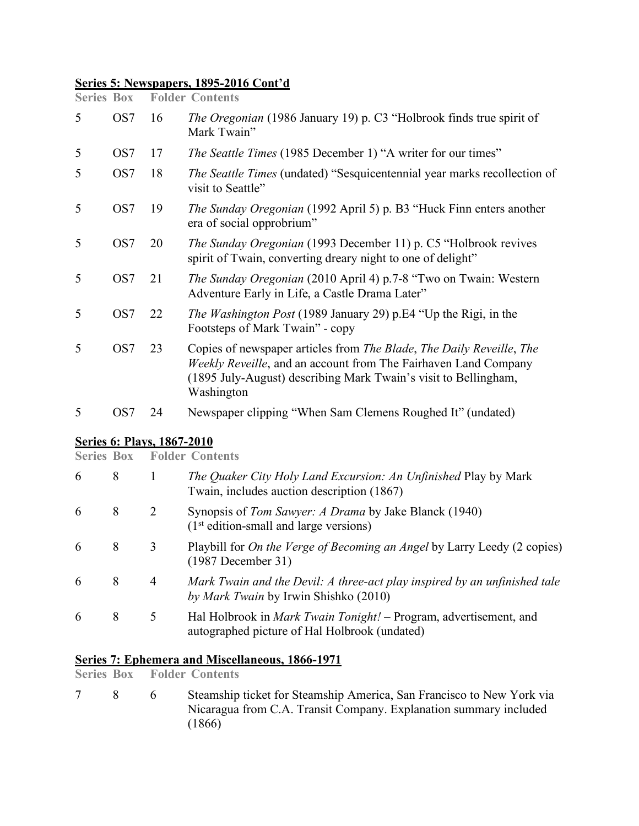## **Series 5: Newspapers, 1895-2016 Cont'd**

| <b>Series Box</b> |                 |    | <b>Folder Contents</b>                                                                                                                                                                                                   |
|-------------------|-----------------|----|--------------------------------------------------------------------------------------------------------------------------------------------------------------------------------------------------------------------------|
| 5                 | OS <sub>7</sub> | 16 | <i>The Oregonian</i> (1986 January 19) p. C3 "Holbrook finds true spirit of<br>Mark Twain"                                                                                                                               |
| 5                 | OS7             | 17 | <i>The Seattle Times</i> (1985 December 1) "A writer for our times"                                                                                                                                                      |
| 5                 | OS7             | 18 | <i>The Seattle Times</i> (undated) "Sesquicentennial year marks recollection of<br>visit to Seattle"                                                                                                                     |
| 5                 | OS7             | 19 | <i>The Sunday Oregonian</i> (1992 April 5) p. B3 "Huck Finn enters another<br>era of social opprobrium"                                                                                                                  |
| 5                 | OS7             | 20 | <i>The Sunday Oregonian</i> (1993 December 11) p. C5 "Holbrook revives<br>spirit of Twain, converting dreary night to one of delight"                                                                                    |
| 5                 | OS7             | 21 | <i>The Sunday Oregonian</i> (2010 April 4) p.7-8 "Two on Twain: Western<br>Adventure Early in Life, a Castle Drama Later"                                                                                                |
| 5                 | OS7             | 22 | <i>The Washington Post</i> (1989 January 29) p.E4 "Up the Rigi, in the<br>Footsteps of Mark Twain" - copy                                                                                                                |
| 5                 | OS7             | 23 | Copies of newspaper articles from The Blade, The Daily Reveille, The<br>Weekly Reveille, and an account from The Fairhaven Land Company<br>(1895 July-August) describing Mark Twain's visit to Bellingham,<br>Washington |
| 5                 | OS <sub>7</sub> | 24 | Newspaper clipping "When Sam Clemens Roughed It" (undated)                                                                                                                                                               |
|                   |                 |    |                                                                                                                                                                                                                          |

## **Series 6: Plays, 1867-2010**

|   |   |   | <b>Series Box Folder Contents</b>                                                                                         |
|---|---|---|---------------------------------------------------------------------------------------------------------------------------|
| 6 | 8 | 1 | The Quaker City Holy Land Excursion: An Unfinished Play by Mark<br>Twain, includes auction description (1867)             |
| 6 | 8 | 2 | Synopsis of Tom Sawyer: A Drama by Jake Blanck (1940)<br>$(1st edition-small and large versions)$                         |
| 6 | 8 | 3 | Playbill for <i>On the Verge of Becoming an Angel</i> by Larry Leedy (2 copies)<br>$(1987)$ December 31)                  |
| 6 | 8 | 4 | Mark Twain and the Devil: A three-act play inspired by an unfinished tale<br>by Mark Twain by Irwin Shishko (2010)        |
| 6 | 8 | 5 | Hal Holbrook in <i>Mark Twain Tonight!</i> – Program, advertisement, and<br>autographed picture of Hal Holbrook (undated) |

## **Series 7: Ephemera and Miscellaneous, 1866-1971**

**Folder Contents** 

7 8 6 Steamship ticket for Steamship America, San Francisco to New York via Nicaragua from C.A. Transit Company. Explanation summary included  $(1866)$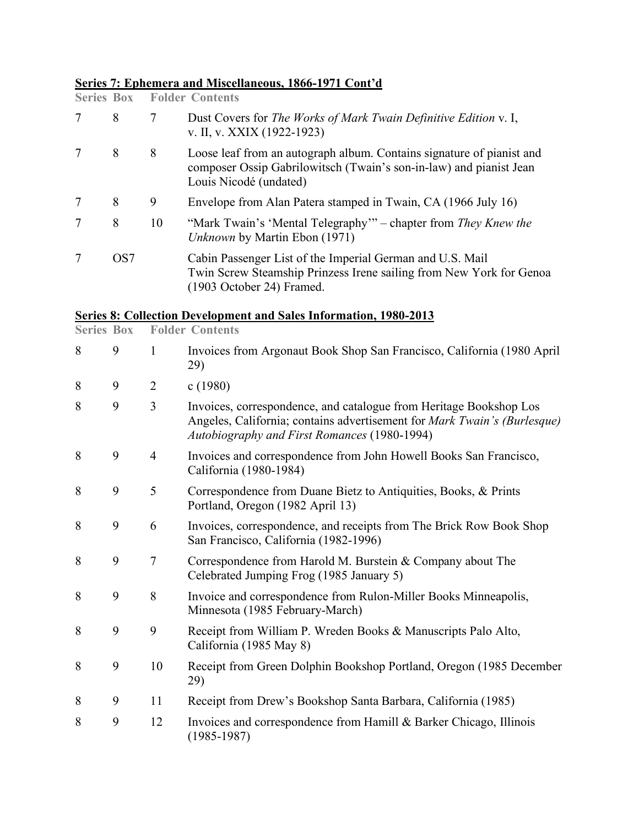## **Series 7: Ephemera and Miscellaneous, 1866-1971 Cont'd**

| <b>Series Box</b> |                 |    | <b>Folder Contents</b>                                                                                                                                                |
|-------------------|-----------------|----|-----------------------------------------------------------------------------------------------------------------------------------------------------------------------|
|                   | 8               | 7  | Dust Covers for The Works of Mark Twain Definitive Edition v. I,<br>v. II, v. XXIX (1922-1923)                                                                        |
|                   | 8               | 8  | Loose leaf from an autograph album. Contains signature of pianist and<br>composer Ossip Gabrilowitsch (Twain's son-in-law) and pianist Jean<br>Louis Nicodé (undated) |
|                   | 8               | 9  | Envelope from Alan Patera stamped in Twain, CA (1966 July 16)                                                                                                         |
|                   | 8               | 10 | "Mark Twain's 'Mental Telegraphy'" – chapter from They Knew the<br>Unknown by Martin Ebon (1971)                                                                      |
|                   | OS <sub>7</sub> |    | Cabin Passenger List of the Imperial German and U.S. Mail<br>Twin Screw Steamship Prinzess Irene sailing from New York for Genoa<br>(1903 October 24) Framed.         |

## **Series 8: Collection Development and Sales Information, 1980-2013**

| <b>Series Box</b> |   |                | <b>Folder Contents</b>                                                                                                                                                                         |
|-------------------|---|----------------|------------------------------------------------------------------------------------------------------------------------------------------------------------------------------------------------|
| 8                 | 9 | $\mathbf{1}$   | Invoices from Argonaut Book Shop San Francisco, California (1980 April<br>29)                                                                                                                  |
| 8                 | 9 | $\overline{2}$ | c(1980)                                                                                                                                                                                        |
| 8                 | 9 | 3              | Invoices, correspondence, and catalogue from Heritage Bookshop Los<br>Angeles, California; contains advertisement for Mark Twain's (Burlesque)<br>Autobiography and First Romances (1980-1994) |
| 8                 | 9 | $\overline{4}$ | Invoices and correspondence from John Howell Books San Francisco,<br>California (1980-1984)                                                                                                    |
| 8                 | 9 | 5              | Correspondence from Duane Bietz to Antiquities, Books, & Prints<br>Portland, Oregon (1982 April 13)                                                                                            |
| 8                 | 9 | 6              | Invoices, correspondence, and receipts from The Brick Row Book Shop<br>San Francisco, California (1982-1996)                                                                                   |
| 8                 | 9 | 7              | Correspondence from Harold M. Burstein & Company about The<br>Celebrated Jumping Frog (1985 January 5)                                                                                         |
| 8                 | 9 | 8              | Invoice and correspondence from Rulon-Miller Books Minneapolis,<br>Minnesota (1985 February-March)                                                                                             |
| 8                 | 9 | 9              | Receipt from William P. Wreden Books & Manuscripts Palo Alto,<br>California (1985 May 8)                                                                                                       |
| 8                 | 9 | 10             | Receipt from Green Dolphin Bookshop Portland, Oregon (1985 December<br>29)                                                                                                                     |
| 8                 | 9 | 11             | Receipt from Drew's Bookshop Santa Barbara, California (1985)                                                                                                                                  |
| 8                 | 9 | 12             | Invoices and correspondence from Hamill & Barker Chicago, Illinois<br>$(1985 - 1987)$                                                                                                          |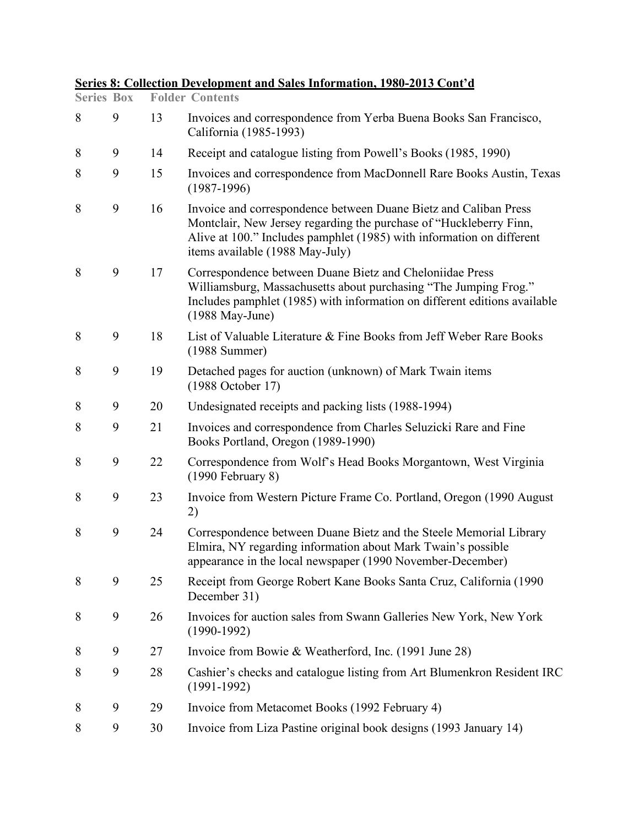| <b>Series Box</b> |   |    | $B0$ , $C1$ , $C1$ , $C2$ , $C3$ , $C4$ , $C5$ , $C6$ , $C7$ , $C8$ , $C9$ , $C1$ , $C1$ , $C1$ , $C1$ , $C1$ , $C1$ , $C1$ , $C$<br><b>Folder Contents</b>                                                                                        |
|-------------------|---|----|----------------------------------------------------------------------------------------------------------------------------------------------------------------------------------------------------------------------------------------------------|
| 8                 | 9 | 13 | Invoices and correspondence from Yerba Buena Books San Francisco,<br>California (1985-1993)                                                                                                                                                        |
| 8                 | 9 | 14 | Receipt and catalogue listing from Powell's Books (1985, 1990)                                                                                                                                                                                     |
| 8                 | 9 | 15 | Invoices and correspondence from MacDonnell Rare Books Austin, Texas<br>$(1987-1996)$                                                                                                                                                              |
| 8                 | 9 | 16 | Invoice and correspondence between Duane Bietz and Caliban Press<br>Montclair, New Jersey regarding the purchase of "Huckleberry Finn,<br>Alive at 100." Includes pamphlet (1985) with information on different<br>items available (1988 May-July) |
| 8                 | 9 | 17 | Correspondence between Duane Bietz and Cheloniidae Press<br>Williamsburg, Massachusetts about purchasing "The Jumping Frog."<br>Includes pamphlet (1985) with information on different editions available<br>(1988 May-June)                       |
| 8                 | 9 | 18 | List of Valuable Literature & Fine Books from Jeff Weber Rare Books<br>$(1988$ Summer)                                                                                                                                                             |
| 8                 | 9 | 19 | Detached pages for auction (unknown) of Mark Twain items<br>(1988 October 17)                                                                                                                                                                      |
| 8                 | 9 | 20 | Undesignated receipts and packing lists (1988-1994)                                                                                                                                                                                                |
| 8                 | 9 | 21 | Invoices and correspondence from Charles Seluzicki Rare and Fine<br>Books Portland, Oregon (1989-1990)                                                                                                                                             |
| 8                 | 9 | 22 | Correspondence from Wolf's Head Books Morgantown, West Virginia<br>$(1990$ February 8)                                                                                                                                                             |
| 8                 | 9 | 23 | Invoice from Western Picture Frame Co. Portland, Oregon (1990 August)<br>2)                                                                                                                                                                        |
| 8                 | 9 | 24 | Correspondence between Duane Bietz and the Steele Memorial Library<br>Elmira, NY regarding information about Mark Twain's possible<br>appearance in the local newspaper (1990 November-December)                                                   |
| 8                 | 9 | 25 | Receipt from George Robert Kane Books Santa Cruz, California (1990)<br>December 31)                                                                                                                                                                |
| 8                 | 9 | 26 | Invoices for auction sales from Swann Galleries New York, New York<br>$(1990-1992)$                                                                                                                                                                |
| 8                 | 9 | 27 | Invoice from Bowie & Weatherford, Inc. $(1991 \text{ June } 28)$                                                                                                                                                                                   |
| 8                 | 9 | 28 | Cashier's checks and catalogue listing from Art Blumenkron Resident IRC<br>$(1991-1992)$                                                                                                                                                           |
| 8                 | 9 | 29 | Invoice from Metacomet Books (1992 February 4)                                                                                                                                                                                                     |
| 8                 | 9 | 30 | Invoice from Liza Pastine original book designs (1993 January 14)                                                                                                                                                                                  |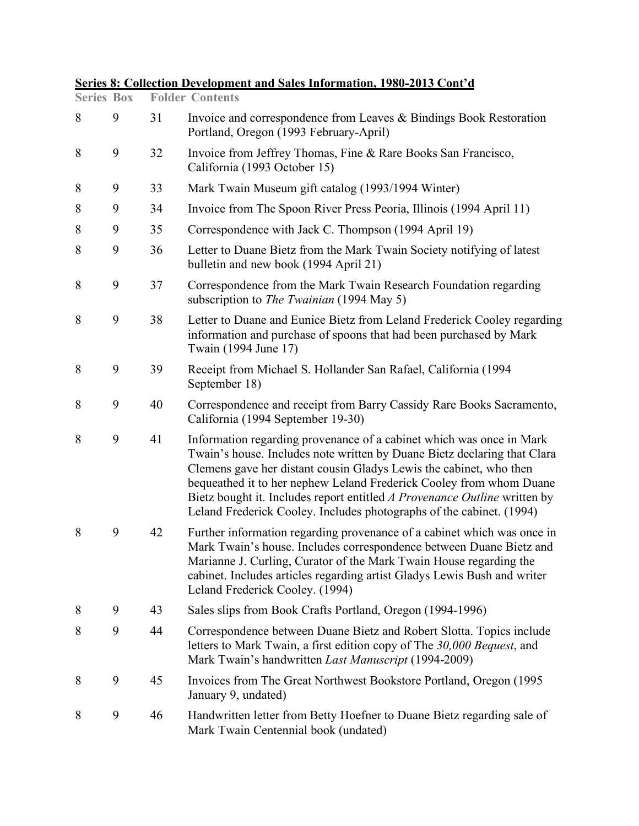| <b>Series Box</b> |   |    | <b>Folder Contents</b>                                                                                                                                                                                                                                                                                                                                                                                                                             |
|-------------------|---|----|----------------------------------------------------------------------------------------------------------------------------------------------------------------------------------------------------------------------------------------------------------------------------------------------------------------------------------------------------------------------------------------------------------------------------------------------------|
| 8                 | 9 | 31 | Invoice and correspondence from Leaves & Bindings Book Restoration<br>Portland, Oregon (1993 February-April)                                                                                                                                                                                                                                                                                                                                       |
| 8                 | 9 | 32 | Invoice from Jeffrey Thomas, Fine & Rare Books San Francisco,<br>California (1993 October 15)                                                                                                                                                                                                                                                                                                                                                      |
| 8                 | 9 | 33 | Mark Twain Museum gift catalog (1993/1994 Winter)                                                                                                                                                                                                                                                                                                                                                                                                  |
| 8                 | 9 | 34 | Invoice from The Spoon River Press Peoria, Illinois (1994 April 11)                                                                                                                                                                                                                                                                                                                                                                                |
| 8                 | 9 | 35 | Correspondence with Jack C. Thompson (1994 April 19)                                                                                                                                                                                                                                                                                                                                                                                               |
| 8                 | 9 | 36 | Letter to Duane Bietz from the Mark Twain Society notifying of latest<br>bulletin and new book (1994 April 21)                                                                                                                                                                                                                                                                                                                                     |
| 8                 | 9 | 37 | Correspondence from the Mark Twain Research Foundation regarding<br>subscription to <i>The Twainian</i> (1994 May 5)                                                                                                                                                                                                                                                                                                                               |
| 8                 | 9 | 38 | Letter to Duane and Eunice Bietz from Leland Frederick Cooley regarding<br>information and purchase of spoons that had been purchased by Mark<br>Twain (1994 June 17)                                                                                                                                                                                                                                                                              |
| 8                 | 9 | 39 | Receipt from Michael S. Hollander San Rafael, California (1994)<br>September 18)                                                                                                                                                                                                                                                                                                                                                                   |
| 8                 | 9 | 40 | Correspondence and receipt from Barry Cassidy Rare Books Sacramento,<br>California (1994 September 19-30)                                                                                                                                                                                                                                                                                                                                          |
| 8                 | 9 | 41 | Information regarding provenance of a cabinet which was once in Mark<br>Twain's house. Includes note written by Duane Bietz declaring that Clara<br>Clemens gave her distant cousin Gladys Lewis the cabinet, who then<br>bequeathed it to her nephew Leland Frederick Cooley from whom Duane<br>Bietz bought it. Includes report entitled A Provenance Outline written by<br>Leland Frederick Cooley. Includes photographs of the cabinet. (1994) |
| 8                 | 9 | 42 | Further information regarding provenance of a cabinet which was once in<br>Mark Twain's house. Includes correspondence between Duane Bietz and<br>Marianne J. Curling, Curator of the Mark Twain House regarding the<br>cabinet. Includes articles regarding artist Gladys Lewis Bush and writer<br>Leland Frederick Cooley. (1994)                                                                                                                |
| 8                 | 9 | 43 | Sales slips from Book Crafts Portland, Oregon (1994-1996)                                                                                                                                                                                                                                                                                                                                                                                          |
| 8                 | 9 | 44 | Correspondence between Duane Bietz and Robert Slotta. Topics include<br>letters to Mark Twain, a first edition copy of The 30,000 Bequest, and<br>Mark Twain's handwritten Last Manuscript (1994-2009)                                                                                                                                                                                                                                             |
| 8                 | 9 | 45 | Invoices from The Great Northwest Bookstore Portland, Oregon (1995)<br>January 9, undated)                                                                                                                                                                                                                                                                                                                                                         |
| 8                 | 9 | 46 | Handwritten letter from Betty Hoefner to Duane Bietz regarding sale of<br>Mark Twain Centennial book (undated)                                                                                                                                                                                                                                                                                                                                     |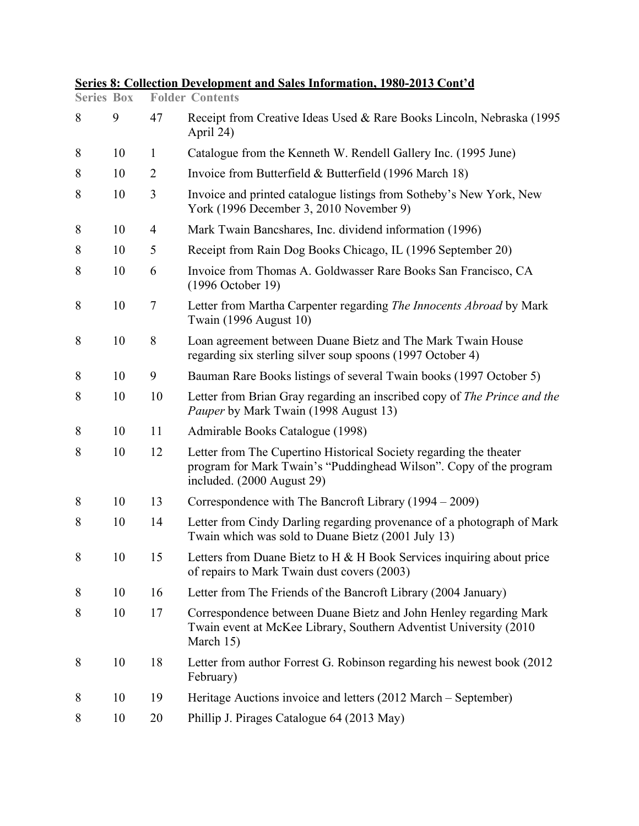| <b>Series Box</b> |    |                | <b>Folder Contents</b>                                                                                                                                                 |
|-------------------|----|----------------|------------------------------------------------------------------------------------------------------------------------------------------------------------------------|
| 8                 | 9  | 47             | Receipt from Creative Ideas Used & Rare Books Lincoln, Nebraska (1995)<br>April 24)                                                                                    |
| 8                 | 10 | $\mathbf{1}$   | Catalogue from the Kenneth W. Rendell Gallery Inc. (1995 June)                                                                                                         |
| 8                 | 10 | $\overline{2}$ | Invoice from Butterfield & Butterfield (1996 March 18)                                                                                                                 |
| 8                 | 10 | 3              | Invoice and printed catalogue listings from Sotheby's New York, New<br>York (1996 December 3, 2010 November 9)                                                         |
| 8                 | 10 | $\overline{4}$ | Mark Twain Bancshares, Inc. dividend information (1996)                                                                                                                |
| 8                 | 10 | 5              | Receipt from Rain Dog Books Chicago, IL (1996 September 20)                                                                                                            |
| 8                 | 10 | 6              | Invoice from Thomas A. Goldwasser Rare Books San Francisco, CA<br>(1996 October 19)                                                                                    |
| 8                 | 10 | 7              | Letter from Martha Carpenter regarding The Innocents Abroad by Mark<br>Twain (1996 August 10)                                                                          |
| 8                 | 10 | 8              | Loan agreement between Duane Bietz and The Mark Twain House<br>regarding six sterling silver soup spoons (1997 October 4)                                              |
| 8                 | 10 | 9              | Bauman Rare Books listings of several Twain books (1997 October 5)                                                                                                     |
| 8                 | 10 | 10             | Letter from Brian Gray regarding an inscribed copy of <i>The Prince and the</i><br>Pauper by Mark Twain (1998 August 13)                                               |
| 8                 | 10 | 11             | Admirable Books Catalogue (1998)                                                                                                                                       |
| 8                 | 10 | 12             | Letter from The Cupertino Historical Society regarding the theater<br>program for Mark Twain's "Puddinghead Wilson". Copy of the program<br>included. (2000 August 29) |
| 8                 | 10 | 13             | Correspondence with The Bancroft Library (1994 – 2009)                                                                                                                 |
| 8                 | 10 | 14             | Letter from Cindy Darling regarding provenance of a photograph of Mark<br>Twain which was sold to Duane Bietz (2001 July 13)                                           |
| 8                 | 10 | 15             | Letters from Duane Bietz to H $&$ H Book Services inquiring about price<br>of repairs to Mark Twain dust covers (2003)                                                 |
| 8                 | 10 | 16             | Letter from The Friends of the Bancroft Library (2004 January)                                                                                                         |
| 8                 | 10 | 17             | Correspondence between Duane Bietz and John Henley regarding Mark<br>Twain event at McKee Library, Southern Adventist University (2010)<br>March 15)                   |
| 8                 | 10 | 18             | Letter from author Forrest G. Robinson regarding his newest book (2012)<br>February)                                                                                   |
| 8                 | 10 | 19             | Heritage Auctions invoice and letters (2012 March – September)                                                                                                         |
| 8                 | 10 | 20             | Phillip J. Pirages Catalogue 64 (2013 May)                                                                                                                             |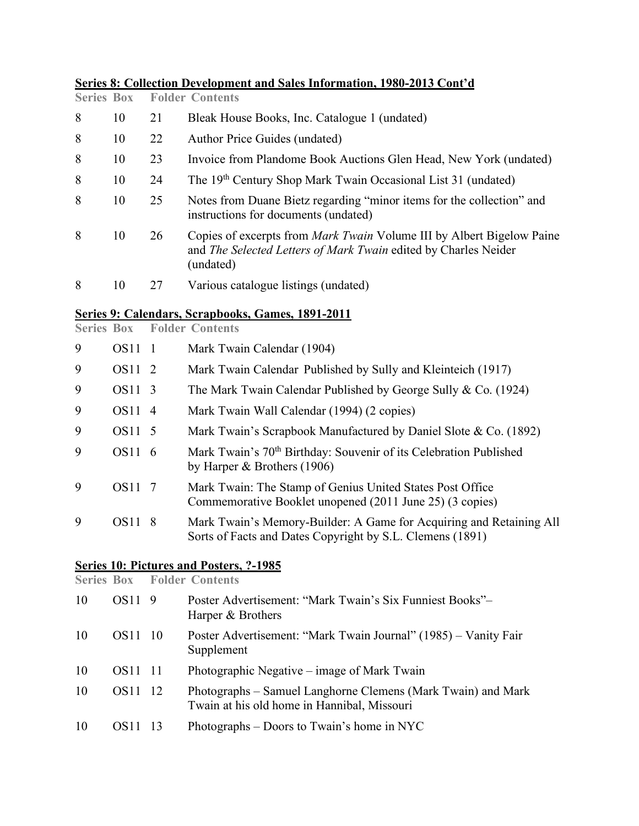| <b>Series Box</b> |             |                | <u>эсися от сонссион Бетсюрински ана загея иногитация, 1700-2010 сонс а</u><br><b>Folder Contents</b>                                                        |
|-------------------|-------------|----------------|--------------------------------------------------------------------------------------------------------------------------------------------------------------|
| 8                 | 10          | 21             | Bleak House Books, Inc. Catalogue 1 (undated)                                                                                                                |
| 8                 | 10          | 22             | Author Price Guides (undated)                                                                                                                                |
| 8                 | 10          | 23             | Invoice from Plandome Book Auctions Glen Head, New York (undated)                                                                                            |
| 8                 | 10          | 24             | The 19 <sup>th</sup> Century Shop Mark Twain Occasional List 31 (undated)                                                                                    |
| 8                 | 10          | 25             | Notes from Duane Bietz regarding "minor items for the collection" and<br>instructions for documents (undated)                                                |
| 8                 | 10          | 26             | Copies of excerpts from <i>Mark Twain</i> Volume III by Albert Bigelow Paine<br>and The Selected Letters of Mark Twain edited by Charles Neider<br>(undated) |
| 8                 | 10          | 27             | Various catalogue listings (undated)                                                                                                                         |
| <b>Series Box</b> |             |                | Series 9: Calendars, Scrapbooks, Games, 1891-2011<br><b>Folder Contents</b>                                                                                  |
| 9                 | OS11 1      |                | Mark Twain Calendar (1904)                                                                                                                                   |
| 9                 | <b>OS11</b> | 2              | Mark Twain Calendar Published by Sully and Kleinteich (1917)                                                                                                 |
| 9                 | <b>OS11</b> | 3              | The Mark Twain Calendar Published by George Sully & Co. (1924)                                                                                               |
| 9                 | <b>OS11</b> | $\overline{4}$ | Mark Twain Wall Calendar (1994) (2 copies)                                                                                                                   |
| 9                 | <b>OS11</b> | 5              | Mark Twain's Scrapbook Manufactured by Daniel Slote & Co. (1892)                                                                                             |
| 9                 | OS11 6      |                | Mark Twain's 70 <sup>th</sup> Birthday: Souvenir of its Celebration Published<br>by Harper $&$ Brothers (1906)                                               |
| 9                 | <b>OS11</b> | -7             | Mark Twain: The Stamp of Genius United States Post Office<br>Commemorative Booklet unopened (2011 June 25) (3 copies)                                        |
| 9                 | OS11 8      |                | Mark Twain's Memory-Builder: A Game for Acquiring and Retaining All<br>Sorts of Facts and Dates Copyright by S.L. Clemens (1891)                             |
|                   |             |                |                                                                                                                                                              |

#### **Series 10: Pictures and Posters, ?-1985**

**Series Box Folder Contents** 10 OS11 9 Poster Advertisement: "Mark Twain's Six Funniest Books"– Harper & Brothers 10 OS11 10 Poster Advertisement: "Mark Twain Journal" (1985) – Vanity Fair Supplement 10 OS11 11 Photographic Negative – image of Mark Twain 10 OS11 12 Photographs – Samuel Langhorne Clemens (Mark Twain) and Mark Twain at his old home in Hannibal, Missouri 10 OS11 13 Photographs – Doors to Twain's home in NYC